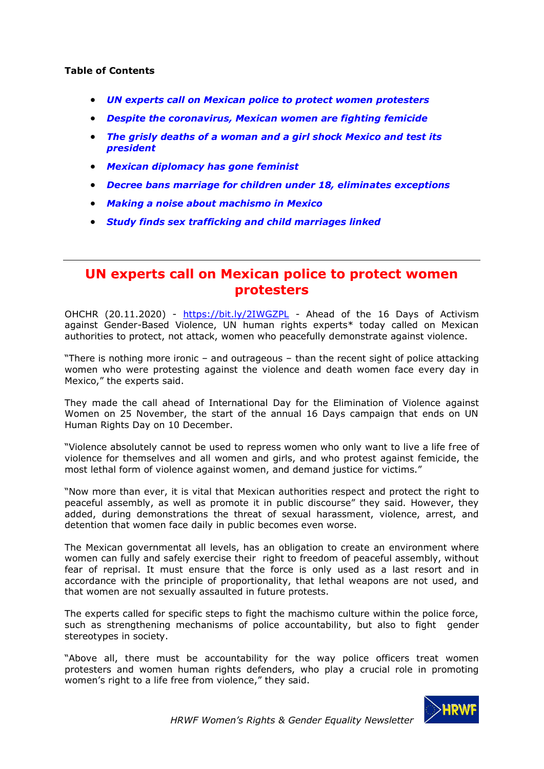## **Table of Contents**

- *[UN experts call on Mexican police to protect women protesters](#page-0-0)*
- *[Despite the coronavirus, Mexican women are fighting femicide](#page-1-0)*
- *[The grisly deaths of a woman and a girl shock Mexico and test its](#page-4-0)  [president](#page-4-0)*
- *[Mexican diplomacy has gone feminist](#page-6-0)*
- *[Decree bans marriage for children under 18, eliminates exceptions](#page-9-0)*
- *[Making a noise about machismo in Mexico](#page-9-1)*
- *[Study finds sex trafficking and child marriages linked](#page-12-0)*

# <span id="page-0-0"></span>**UN experts call on Mexican police to protect women protesters**

OHCHR (20.11.2020) - <https://bit.ly/2IWGZPL> - Ahead of the 16 Days of Activism against Gender-Based Violence, UN human rights experts\* today called on Mexican authorities to protect, not attack, women who peacefully demonstrate against violence.

"There is nothing more ironic – and outrageous – than the recent sight of police attacking women who were protesting against the violence and death women face every day in Mexico," the experts said.

They made the call ahead of International Day for the Elimination of Violence against Women on 25 November, the start of the annual 16 Days campaign that ends on UN Human Rights Day on 10 December.

"Violence absolutely cannot be used to repress women who only want to live a life free of violence for themselves and all women and girls, and who protest against femicide, the most lethal form of violence against women, and demand justice for victims."

"Now more than ever, it is vital that Mexican authorities respect and protect the right to peaceful assembly, as well as promote it in public discourse" they said. However, they added, during demonstrations the threat of sexual harassment, violence, arrest, and detention that women face daily in public becomes even worse.

The Mexican governmentat all levels, has an obligation to create an environment where women can fully and safely exercise their right to freedom of peaceful assembly, without fear of reprisal. It must ensure that the force is only used as a last resort and in accordance with the principle of proportionality, that lethal weapons are not used, and that women are not sexually assaulted in future protests.

The experts called for specific steps to fight the machismo culture within the police force, such as strengthening mechanisms of police accountability, but also to fight gender stereotypes in society.

"Above all, there must be accountability for the way police officers treat women protesters and women human rights defenders, who play a crucial role in promoting women's right to a life free from violence," they said.

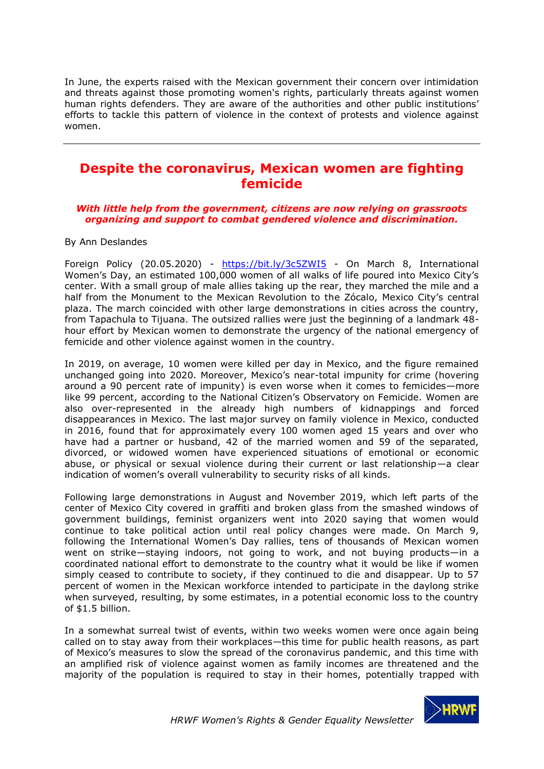In June, the experts raised with the Mexican government their concern over intimidation and threats against those promoting women's rights, particularly threats against women human rights defenders. They are aware of the authorities and other public institutions' efforts to tackle this pattern of violence in the context of protests and violence against women.

# <span id="page-1-0"></span>**Despite the coronavirus, Mexican women are fighting femicide**

## *With little help from the government, citizens are now relying on grassroots organizing and support to combat gendered violence and discrimination.*

### By Ann Deslandes

Foreign Policy (20.05.2020) - <https://bit.ly/3c5ZWI5> - On March 8, International Women's Day, an estimated 100,000 women of all walks of life poured into Mexico City's center. With a small group of male allies taking up the rear, they marched the mile and a half from the Monument to the Mexican Revolution to the Zócalo, Mexico City's central plaza. The march coincided with other large demonstrations in cities across the country, from Tapachula to Tijuana. The outsized rallies were just the beginning of a landmark 48 hour effort by Mexican women to demonstrate the urgency of the national emergency of femicide and other violence against women in the country.

In 2019, on average, 10 women were killed per day in Mexico, and the figure remained unchanged going into 2020. Moreover, Mexico's near-total impunity for crime (hovering around a 90 percent rate of impunity) is even worse when it comes to femicides—more like 99 percent, according to the National Citizen's Observatory on Femicide. Women are also over-represented in the already high numbers of kidnappings and forced disappearances in Mexico. The last major survey on family violence in Mexico, conducted in 2016, found that for approximately every 100 women aged 15 years and over who have had a partner or husband, 42 of the married women and 59 of the separated, divorced, or widowed women have experienced situations of emotional or economic abuse, or physical or sexual violence during their current or last relationship—a clear indication of women's overall vulnerability to security risks of all kinds.

Following large demonstrations in August and November 2019, which left parts of the center of Mexico City covered in graffiti and broken glass from the smashed windows of government buildings, feminist organizers went into 2020 saying that women would continue to take political action until real policy changes were made. On March 9, following the International Women's Day rallies, tens of thousands of Mexican women went on strike—staying indoors, not going to work, and not buying products—in a coordinated national effort to demonstrate to the country what it would be like if women simply ceased to contribute to society, if they continued to die and disappear. Up to 57 percent of women in the Mexican workforce intended to participate in the daylong strike when surveyed, resulting, by some estimates, in a potential economic loss to the country of \$1.5 billion.

In a somewhat surreal twist of events, within two weeks women were once again being called on to stay away from their workplaces—this time for public health reasons, as part of Mexico's measures to slow the spread of the coronavirus pandemic, and this time with an amplified risk of violence against women as family incomes are threatened and the majority of the population is required to stay in their homes, potentially trapped with

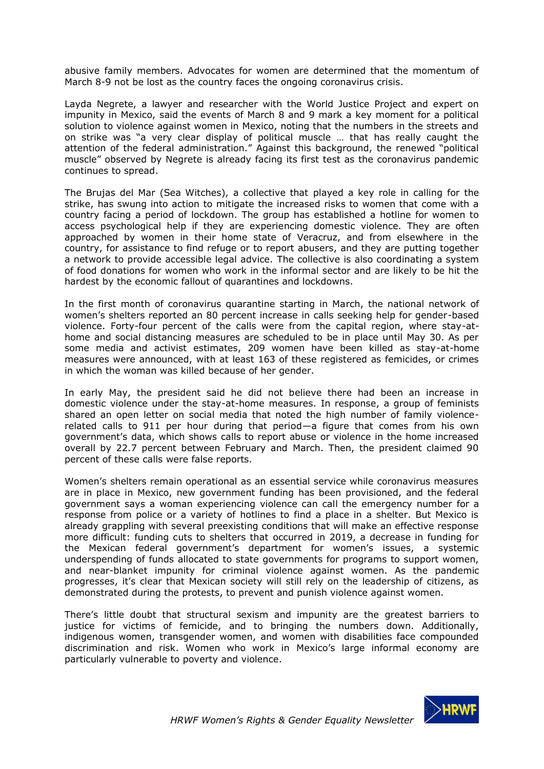abusive family members. Advocates for women are determined that the momentum of March 8-9 not be lost as the country faces the ongoing coronavirus crisis.

Layda Negrete, a lawyer and researcher with the World Justice Project and expert on impunity in Mexico, said the events of March 8 and 9 mark a key moment for a political solution to violence against women in Mexico, noting that the numbers in the streets and on strike was "a very clear display of political muscle … that has really caught the attention of the federal administration." Against this background, the renewed "political muscle" observed by Negrete is already facing its first test as the coronavirus pandemic continues to spread.

The Brujas del Mar (Sea Witches), a collective that played a key role in calling for the strike, has swung into action to mitigate the increased risks to women that come with a country facing a period of lockdown. The group has established a hotline for women to access psychological help if they are experiencing domestic violence. They are often approached by women in their home state of Veracruz, and from elsewhere in the country, for assistance to find refuge or to report abusers, and they are putting together a network to provide accessible legal advice. The collective is also coordinating a system of food donations for women who work in the informal sector and are likely to be hit the hardest by the economic fallout of quarantines and lockdowns.

In the first month of coronavirus quarantine starting in March, the national network of women's shelters reported an 80 percent increase in calls seeking help for gender-based violence. Forty-four percent of the calls were from the capital region, where stay-athome and social distancing measures are scheduled to be in place until May 30. As per some media and activist estimates, 209 women have been killed as stay-at-home measures were announced, with at least 163 of these registered as femicides, or crimes in which the woman was killed because of her gender.

In early May, the president said he did not believe there had been an increase in domestic violence under the stay-at-home measures. In response, a group of feminists shared an open letter on social media that noted the high number of family violencerelated calls to 911 per hour during that period—a figure that comes from his own government's data, which shows calls to report abuse or violence in the home increased overall by 22.7 percent between February and March. Then, the president claimed 90 percent of these calls were false reports.

Women's shelters remain operational as an essential service while coronavirus measures are in place in Mexico, new government funding has been provisioned, and the federal government says a woman experiencing violence can call the emergency number for a response from police or a variety of hotlines to find a place in a shelter. But Mexico is already grappling with several preexisting conditions that will make an effective response more difficult: funding cuts to shelters that occurred in 2019, a decrease in funding for the Mexican federal government's department for women's issues, a systemic underspending of funds allocated to state governments for programs to support women, and near-blanket impunity for criminal violence against women. As the pandemic progresses, it's clear that Mexican society will still rely on the leadership of citizens, as demonstrated during the protests, to prevent and punish violence against women.

There's little doubt that structural sexism and impunity are the greatest barriers to justice for victims of femicide, and to bringing the numbers down. Additionally, indigenous women, transgender women, and women with disabilities face compounded discrimination and risk. Women who work in Mexico's large informal economy are particularly vulnerable to poverty and violence.

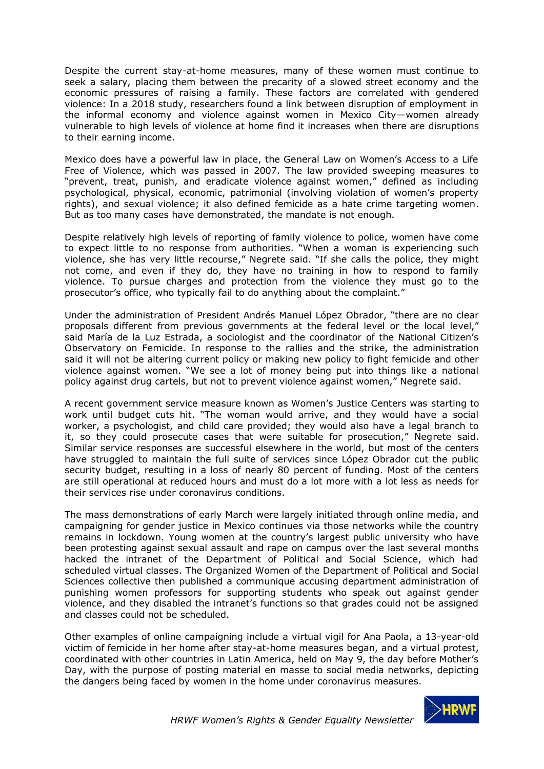Despite the current stay-at-home measures, many of these women must continue to seek a salary, placing them between the precarity of a slowed street economy and the economic pressures of raising a family. These factors are correlated with gendered violence: In a 2018 study, researchers found a link between disruption of employment in the informal economy and violence against women in Mexico City—women already vulnerable to high levels of violence at home find it increases when there are disruptions to their earning income.

Mexico does have a powerful law in place, the General Law on Women's Access to a Life Free of Violence, which was passed in 2007. The law provided sweeping measures to "prevent, treat, punish, and eradicate violence against women," defined as including psychological, physical, economic, patrimonial (involving violation of women's property rights), and sexual violence; it also defined femicide as a hate crime targeting women. But as too many cases have demonstrated, the mandate is not enough.

Despite relatively high levels of reporting of family violence to police, women have come to expect little to no response from authorities. "When a woman is experiencing such violence, she has very little recourse," Negrete said. "If she calls the police, they might not come, and even if they do, they have no training in how to respond to family violence. To pursue charges and protection from the violence they must go to the prosecutor's office, who typically fail to do anything about the complaint."

Under the administration of President Andrés Manuel López Obrador, "there are no clear proposals different from previous governments at the federal level or the local level," said María de la Luz Estrada, a sociologist and the coordinator of the National Citizen's Observatory on Femicide. In response to the rallies and the strike, the administration said it will not be altering current policy or making new policy to fight femicide and other violence against women. "We see a lot of money being put into things like a national policy against drug cartels, but not to prevent violence against women," Negrete said.

A recent government service measure known as Women's Justice Centers was starting to work until budget cuts hit. "The woman would arrive, and they would have a social worker, a psychologist, and child care provided; they would also have a legal branch to it, so they could prosecute cases that were suitable for prosecution," Negrete said. Similar service responses are successful elsewhere in the world, but most of the centers have struggled to maintain the full suite of services since López Obrador cut the public security budget, resulting in a loss of nearly 80 percent of funding. Most of the centers are still operational at reduced hours and must do a lot more with a lot less as needs for their services rise under coronavirus conditions.

The mass demonstrations of early March were largely initiated through online media, and campaigning for gender justice in Mexico continues via those networks while the country remains in lockdown. Young women at the country's largest public university who have been protesting against sexual assault and rape on campus over the last several months hacked the intranet of the Department of Political and Social Science, which had scheduled virtual classes. The Organized Women of the Department of Political and Social Sciences collective then published a communique accusing department administration of punishing women professors for supporting students who speak out against gender violence, and they disabled the intranet's functions so that grades could not be assigned and classes could not be scheduled.

Other examples of online campaigning include a virtual vigil for Ana Paola, a 13-year-old victim of femicide in her home after stay-at-home measures began, and a virtual protest, coordinated with other countries in Latin America, held on May 9, the day before Mother's Day, with the purpose of posting material en masse to social media networks, depicting the dangers being faced by women in the home under coronavirus measures.

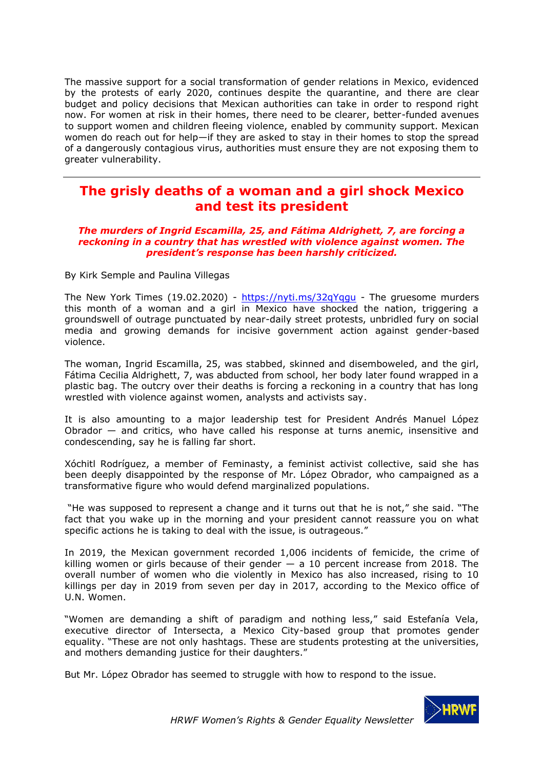The massive support for a social transformation of gender relations in Mexico, evidenced by the protests of early 2020, continues despite the quarantine, and there are clear budget and policy decisions that Mexican authorities can take in order to respond right now. For women at risk in their homes, there need to be clearer, better-funded avenues to support women and children fleeing violence, enabled by community support. Mexican women do reach out for help—if they are asked to stay in their homes to stop the spread of a dangerously contagious virus, authorities must ensure they are not exposing them to greater vulnerability.

# <span id="page-4-0"></span>**The grisly deaths of a woman and a girl shock Mexico and test its president**

#### *The murders of Ingrid Escamilla, 25, and Fátima Aldrighett, 7, are forcing a reckoning in a country that has wrestled with violence against women. The president's response has been harshly criticized.*

By Kirk Semple and Paulina Villegas

The New York Times (19.02.2020) - <https://nyti.ms/32qYqgu> - The gruesome murders this month of a woman and a girl in Mexico have shocked the nation, triggering a groundswell of outrage punctuated by near-daily street protests, unbridled fury on social media and growing demands for incisive government action against gender-based violence.

The woman, Ingrid Escamilla, 25, was stabbed, skinned and disemboweled, and the girl, Fátima Cecilia Aldrighett, 7, was abducted from school, her body later found wrapped in a plastic bag. The outcry over their deaths is forcing a reckoning in a country that has long wrestled with violence against women, analysts and activists say.

It is also amounting to a major leadership test for President Andrés Manuel López Obrador — and critics, who have called his response at turns anemic, insensitive and condescending, say he is falling far short.

Xóchitl Rodríguez, a member of Feminasty, a feminist activist collective, said she has been deeply disappointed by the response of Mr. López Obrador, who campaigned as a transformative figure who would defend marginalized populations.

"He was supposed to represent a change and it turns out that he is not," she said. "The fact that you wake up in the morning and your president cannot reassure you on what specific actions he is taking to deal with the issue, is outrageous."

In 2019, the Mexican government recorded 1,006 incidents of femicide, the crime of killing women or girls because of their gender  $-$  a 10 percent increase from 2018. The overall number of women who die violently in Mexico has also increased, rising to 10 killings per day in 2019 from seven per day in 2017, according to the Mexico office of U.N. Women.

"Women are demanding a shift of paradigm and nothing less," said Estefanía Vela, executive director of Intersecta, a Mexico City-based group that promotes gender equality. "These are not only hashtags. These are students protesting at the universities, and mothers demanding justice for their daughters."

But Mr. López Obrador has seemed to struggle with how to respond to the issue.



*HRWF Women's Rights & Gender Equality Newsletter*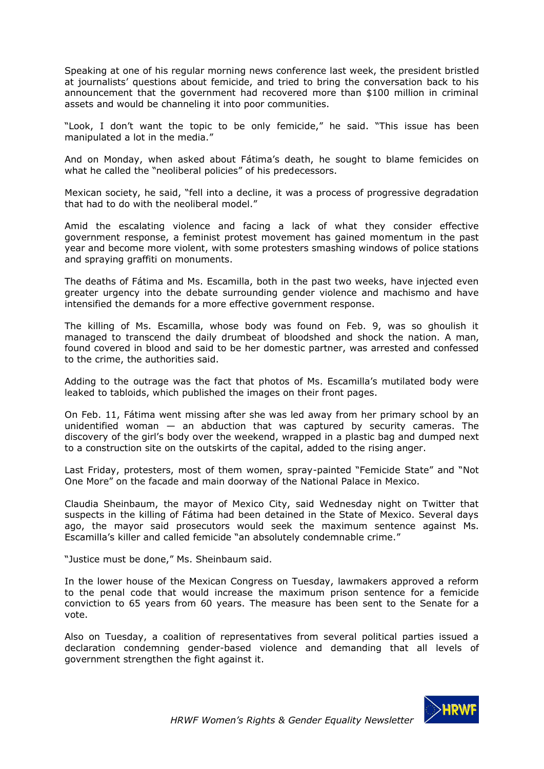Speaking at one of his regular morning news conference last week, the president bristled at journalists' questions about femicide, and tried to bring the conversation back to his announcement that the government had recovered more than \$100 million in criminal assets and would be channeling it into poor communities.

"Look, I don't want the topic to be only femicide," he said. "This issue has been manipulated a lot in the media."

And on Monday, when asked about Fátima's death, he sought to blame femicides on what he called the "neoliberal policies" of his predecessors.

Mexican society, he said, "fell into a decline, it was a process of progressive degradation that had to do with the neoliberal model."

Amid the escalating violence and facing a lack of what they consider effective government response, a feminist protest movement has gained momentum in the past year and become more violent, with some protesters smashing windows of police stations and spraying graffiti on monuments.

The deaths of Fátima and Ms. Escamilla, both in the past two weeks, have injected even greater urgency into the debate surrounding gender violence and machismo and have intensified the demands for a more effective government response.

The killing of Ms. Escamilla, whose body was found on Feb. 9, was so ghoulish it managed to transcend the daily drumbeat of bloodshed and shock the nation. A man, found covered in blood and said to be her domestic partner, was arrested and confessed to the crime, the authorities said.

Adding to the outrage was the fact that photos of Ms. Escamilla's mutilated body were leaked to tabloids, which published the images on their front pages.

On Feb. 11, Fátima went missing after she was led away from her primary school by an unidentified woman  $-$  an abduction that was captured by security cameras. The discovery of the girl's body over the weekend, wrapped in a plastic bag and dumped next to a construction site on the outskirts of the capital, added to the rising anger.

Last Friday, protesters, most of them women, spray-painted "Femicide State" and "Not One More" on the facade and main doorway of the National Palace in Mexico.

Claudia Sheinbaum, the mayor of Mexico City, said Wednesday night on Twitter that suspects in the killing of Fátima had been detained in the State of Mexico. Several days ago, the mayor said prosecutors would seek the maximum sentence against Ms. Escamilla's killer and called femicide "an absolutely condemnable crime."

"Justice must be done," Ms. Sheinbaum said.

In the lower house of the Mexican Congress on Tuesday, lawmakers approved a reform to the penal code that would increase the maximum prison sentence for a femicide conviction to 65 years from 60 years. The measure has been sent to the Senate for a vote.

Also on Tuesday, a coalition of representatives from several political parties issued a declaration condemning gender-based violence and demanding that all levels of government strengthen the fight against it.

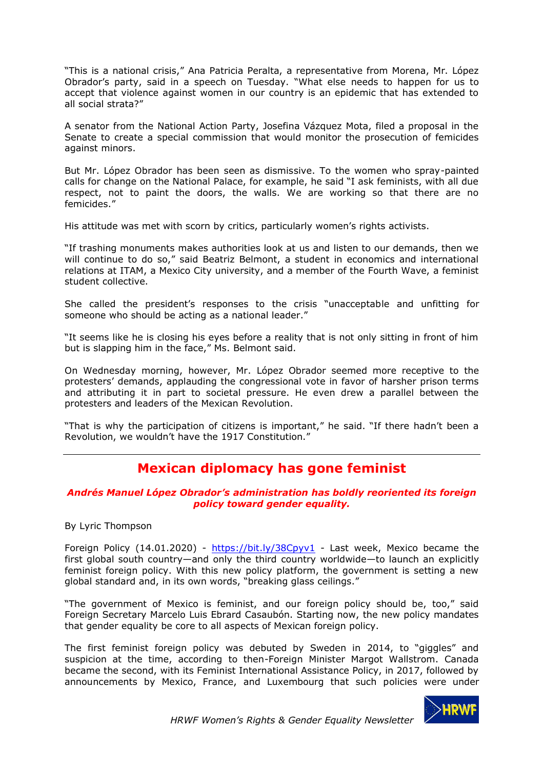"This is a national crisis," Ana Patricia Peralta, a representative from Morena, Mr. López Obrador's party, said in a speech on Tuesday. "What else needs to happen for us to accept that violence against women in our country is an epidemic that has extended to all social strata?"

A senator from the National Action Party, Josefina Vázquez Mota, filed a proposal in the Senate to create a special commission that would monitor the prosecution of femicides against minors.

But Mr. López Obrador has been seen as dismissive. To the women who spray-painted calls for change on the National Palace, for example, he said "I ask feminists, with all due respect, not to paint the doors, the walls. We are working so that there are no femicides."

His attitude was met with scorn by critics, particularly women's rights activists.

"If trashing monuments makes authorities look at us and listen to our demands, then we will continue to do so," said Beatriz Belmont, a student in economics and international relations at ITAM, a Mexico City university, and a member of the Fourth Wave, a feminist student collective.

She called the president's responses to the crisis "unacceptable and unfitting for someone who should be acting as a national leader."

"It seems like he is closing his eyes before a reality that is not only sitting in front of him but is slapping him in the face," Ms. Belmont said.

On Wednesday morning, however, Mr. López Obrador seemed more receptive to the protesters' demands, applauding the congressional vote in favor of harsher prison terms and attributing it in part to societal pressure. He even drew a parallel between the protesters and leaders of the Mexican Revolution.

"That is why the participation of citizens is important," he said. "If there hadn't been a Revolution, we wouldn't have the 1917 Constitution."

# **Mexican diplomacy has gone feminist**

# <span id="page-6-0"></span>*Andrés Manuel López Obrador's administration has boldly reoriented its foreign policy toward gender equality.*

By Lyric Thompson

Foreign Policy (14.01.2020) - <https://bit.ly/38Cpyv1> - Last week, Mexico became the first global south country—and only the third country worldwide—to launch an explicitly feminist foreign policy. With this new policy platform, the government is setting a new global standard and, in its own words, "breaking glass ceilings."

"The government of Mexico is feminist, and our foreign policy should be, too," said Foreign Secretary Marcelo Luis Ebrard Casaubón. Starting now, the new policy mandates that gender equality be core to all aspects of Mexican foreign policy.

The first feminist foreign policy was debuted by Sweden in 2014, to "giggles" and suspicion at the time, according to then-Foreign Minister Margot Wallstrom. Canada became the second, with its Feminist International Assistance Policy, in 2017, followed by announcements by Mexico, France, and Luxembourg that such policies were under

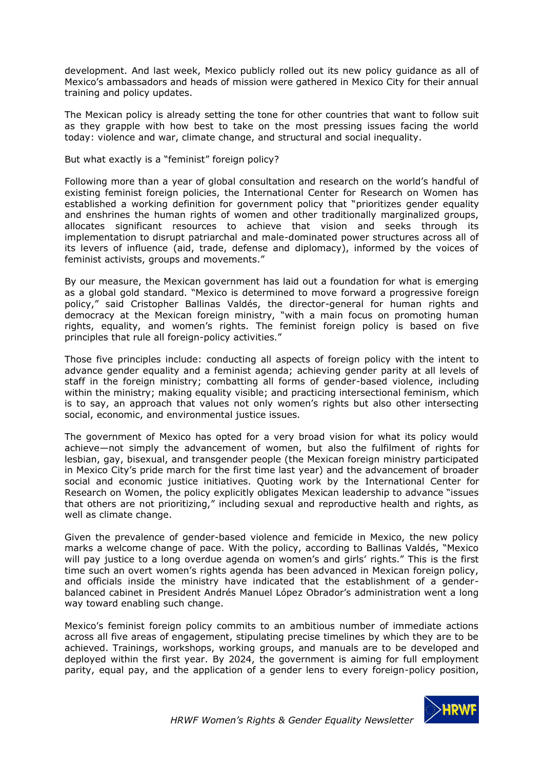development. And last week, Mexico publicly rolled out its new policy guidance as all of Mexico's ambassadors and heads of mission were gathered in Mexico City for their annual training and policy updates.

The Mexican policy is already setting the tone for other countries that want to follow suit as they grapple with how best to take on the most pressing issues facing the world today: violence and war, climate change, and structural and social inequality.

#### But what exactly is a "feminist" foreign policy?

Following more than a year of global consultation and research on the world's handful of existing feminist foreign policies, the International Center for Research on Women has established a working definition for government policy that "prioritizes gender equality and enshrines the human rights of women and other traditionally marginalized groups, allocates significant resources to achieve that vision and seeks through its implementation to disrupt patriarchal and male-dominated power structures across all of its levers of influence (aid, trade, defense and diplomacy), informed by the voices of feminist activists, groups and movements."

By our measure, the Mexican government has laid out a foundation for what is emerging as a global gold standard. "Mexico is determined to move forward a progressive foreign policy," said Cristopher Ballinas Valdés, the director-general for human rights and democracy at the Mexican foreign ministry, "with a main focus on promoting human rights, equality, and women's rights. The feminist foreign policy is based on five principles that rule all foreign-policy activities."

Those five principles include: conducting all aspects of foreign policy with the intent to advance gender equality and a feminist agenda; achieving gender parity at all levels of staff in the foreign ministry; combatting all forms of gender-based violence, including within the ministry; making equality visible; and practicing intersectional feminism, which is to say, an approach that values not only women's rights but also other intersecting social, economic, and environmental justice issues.

The government of Mexico has opted for a very broad vision for what its policy would achieve—not simply the advancement of women, but also the fulfilment of rights for lesbian, gay, bisexual, and transgender people (the Mexican foreign ministry participated in Mexico City's pride march for the first time last year) and the advancement of broader social and economic justice initiatives. Quoting work by the International Center for Research on Women, the policy explicitly obligates Mexican leadership to advance "issues that others are not prioritizing," including sexual and reproductive health and rights, as well as climate change.

Given the prevalence of gender-based violence and femicide in Mexico, the new policy marks a welcome change of pace. With the policy, according to Ballinas Valdés, "Mexico will pay justice to a long overdue agenda on women's and girls' rights." This is the first time such an overt women's rights agenda has been advanced in Mexican foreign policy, and officials inside the ministry have indicated that the establishment of a genderbalanced cabinet in President Andrés Manuel López Obrador's administration went a long way toward enabling such change.

Mexico's feminist foreign policy commits to an ambitious number of immediate actions across all five areas of engagement, stipulating precise timelines by which they are to be achieved. Trainings, workshops, working groups, and manuals are to be developed and deployed within the first year. By 2024, the government is aiming for full employment parity, equal pay, and the application of a gender lens to every foreign-policy position,

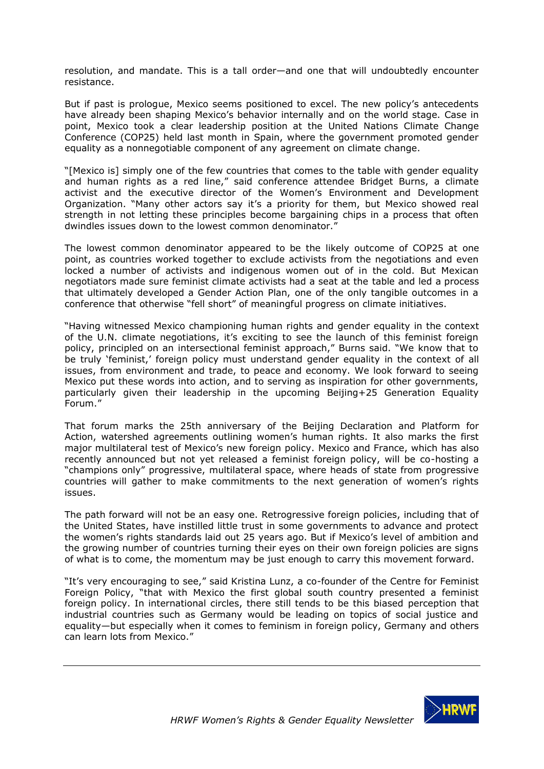resolution, and mandate. This is a tall order—and one that will undoubtedly encounter resistance.

But if past is prologue, Mexico seems positioned to excel. The new policy's antecedents have already been shaping Mexico's behavior internally and on the world stage. Case in point, Mexico took a clear leadership position at the United Nations Climate Change Conference (COP25) held last month in Spain, where the government promoted gender equality as a nonnegotiable component of any agreement on climate change.

"[Mexico is] simply one of the few countries that comes to the table with gender equality and human rights as a red line," said conference attendee Bridget Burns, a climate activist and the executive director of the Women's Environment and Development Organization. "Many other actors say it's a priority for them, but Mexico showed real strength in not letting these principles become bargaining chips in a process that often dwindles issues down to the lowest common denominator."

The lowest common denominator appeared to be the likely outcome of COP25 at one point, as countries worked together to exclude activists from the negotiations and even locked a number of activists and indigenous women out of in the cold. But Mexican negotiators made sure feminist climate activists had a seat at the table and led a process that ultimately developed a Gender Action Plan, one of the only tangible outcomes in a conference that otherwise "fell short" of meaningful progress on climate initiatives.

"Having witnessed Mexico championing human rights and gender equality in the context of the U.N. climate negotiations, it's exciting to see the launch of this feminist foreign policy, principled on an intersectional feminist approach," Burns said. "We know that to be truly 'feminist,' foreign policy must understand gender equality in the context of all issues, from environment and trade, to peace and economy. We look forward to seeing Mexico put these words into action, and to serving as inspiration for other governments, particularly given their leadership in the upcoming Beijing+25 Generation Equality Forum."

That forum marks the 25th anniversary of the Beijing Declaration and Platform for Action, watershed agreements outlining women's human rights. It also marks the first major multilateral test of Mexico's new foreign policy. Mexico and France, which has also recently announced but not yet released a feminist foreign policy, will be co-hosting a "champions only" progressive, multilateral space, where heads of state from progressive countries will gather to make commitments to the next generation of women's rights issues.

The path forward will not be an easy one. Retrogressive foreign policies, including that of the United States, have instilled little trust in some governments to advance and protect the women's rights standards laid out 25 years ago. But if Mexico's level of ambition and the growing number of countries turning their eyes on their own foreign policies are signs of what is to come, the momentum may be just enough to carry this movement forward.

"It's very encouraging to see," said Kristina Lunz, a co-founder of the Centre for Feminist Foreign Policy, "that with Mexico the first global south country presented a feminist foreign policy. In international circles, there still tends to be this biased perception that industrial countries such as Germany would be leading on topics of social justice and equality—but especially when it comes to feminism in foreign policy, Germany and others can learn lots from Mexico."

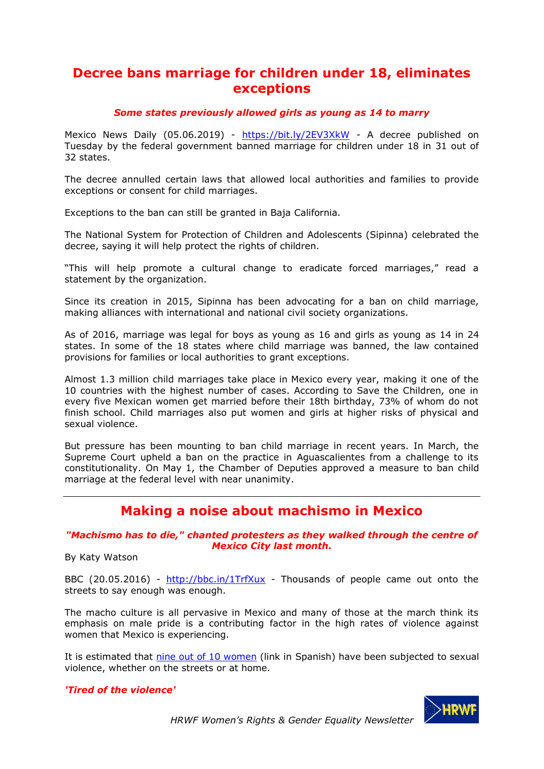# <span id="page-9-0"></span>**Decree bans marriage for children under 18, eliminates exceptions**

## *Some states previously allowed girls as young as 14 to marry*

Mexico News Daily (05.06.2019) - <https://bit.ly/2EV3XkW> - A decree published on Tuesday by the federal government banned marriage for children under 18 in 31 out of 32 states.

The decree annulled certain laws that allowed local authorities and families to provide exceptions or consent for child marriages.

Exceptions to the ban can still be granted in Baja California.

The National System for Protection of Children and Adolescents (Sipinna) celebrated the decree, saying it will help protect the rights of children.

"This will help promote a cultural change to eradicate forced marriages," read a statement by the organization.

Since its creation in 2015, Sipinna has been advocating for a ban on child marriage, making alliances with international and national civil society organizations.

As of 2016, marriage was legal for boys as young as 16 and girls as young as 14 in 24 states. In some of the 18 states where child marriage was banned, the law contained provisions for families or local authorities to grant exceptions.

Almost 1.3 million child marriages take place in Mexico every year, making it one of the 10 countries with the highest number of cases. According to Save the Children, one in every five Mexican women get married before their 18th birthday, 73% of whom do not finish school. Child marriages also put women and girls at higher risks of physical and sexual violence.

But pressure has been mounting to ban child marriage in recent years. In March, the Supreme Court upheld a ban on the practice in Aguascalientes from a challenge to its constitutionality. On May 1, the Chamber of Deputies approved a measure to ban child marriage at the federal level with near unanimity.

# **Making a noise about machismo in Mexico**

#### <span id="page-9-1"></span>*"Machismo has to die," chanted protesters as they walked through the centre of Mexico City last month.*

By Katy Watson

BBC (20.05.2016) - <http://bbc.in/1TrfXux> - Thousands of people came out onto the streets to say enough was enough.

The macho culture is all pervasive in Mexico and many of those at the march think its emphasis on male pride is a contributing factor in the high rates of violence against women that Mexico is experiencing.

It is estimated that [nine out of 10 women](http://www.equidad.scjn.gob.mx/biblioteca_virtual/publicacionesRecientes/BrechasDeGenero/03.pdf) (link in Spanish) have been subjected to sexual violence, whether on the streets or at home.

# *'Tired of the violence'*

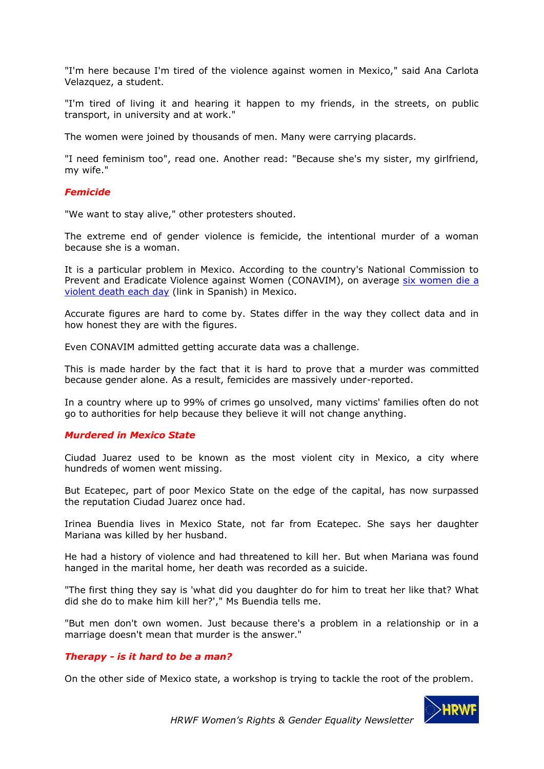"I'm here because I'm tired of the violence against women in Mexico," said Ana Carlota Velazquez, a student.

"I'm tired of living it and hearing it happen to my friends, in the streets, on public transport, in university and at work."

The women were joined by thousands of men. Many were carrying placards.

"I need feminism too", read one. Another read: "Because she's my sister, my girlfriend, my wife."

## *Femicide*

"We want to stay alive," other protesters shouted.

The extreme end of gender violence is femicide, the intentional murder of a woman because she is a woman.

It is a particular problem in Mexico. According to the country's National Commission to Prevent and Eradicate Violence against Women (CONAVIM), on average six women die a [violent death each day](http://www.gob.mx/cms/uploads/attachment/file/84740/La_Vilencia_Feminicida_en_M_xico__aproximaciones_y_tendencias_1985_-2014.pdf) (link in Spanish) in Mexico.

Accurate figures are hard to come by. States differ in the way they collect data and in how honest they are with the figures.

Even CONAVIM admitted getting accurate data was a challenge.

This is made harder by the fact that it is hard to prove that a murder was committed because gender alone. As a result, femicides are massively under-reported.

In a country where up to 99% of crimes go unsolved, many victims' families often do not go to authorities for help because they believe it will not change anything.

### *Murdered in Mexico State*

Ciudad Juarez used to be known as the most violent city in Mexico, a city where hundreds of women went missing.

But Ecatepec, part of poor Mexico State on the edge of the capital, has now surpassed the reputation Ciudad Juarez once had.

Irinea Buendia lives in Mexico State, not far from Ecatepec. She says her daughter Mariana was killed by her husband.

He had a history of violence and had threatened to kill her. But when Mariana was found hanged in the marital home, her death was recorded as a suicide.

"The first thing they say is 'what did you daughter do for him to treat her like that? What did she do to make him kill her?'," Ms Buendia tells me.

"But men don't own women. Just because there's a problem in a relationship or in a marriage doesn't mean that murder is the answer."

### *Therapy - is it hard to be a man?*

On the other side of Mexico state, a workshop is trying to tackle the root of the problem.

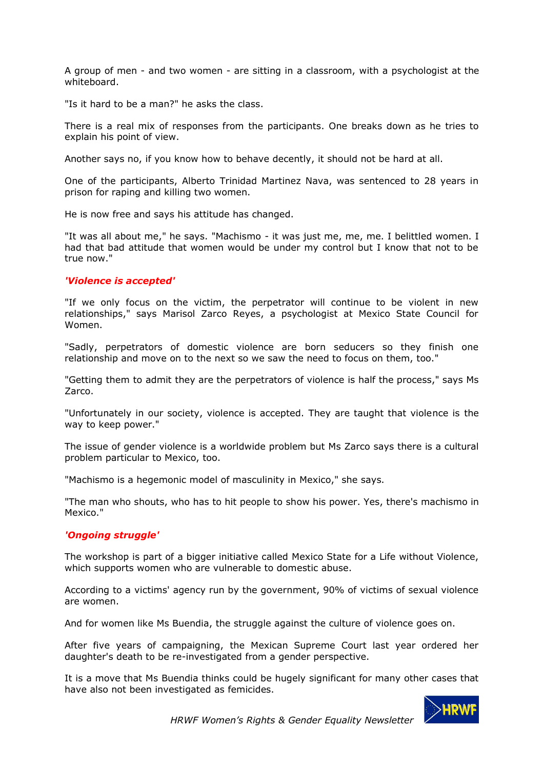A group of men - and two women - are sitting in a classroom, with a psychologist at the whiteboard.

"Is it hard to be a man?" he asks the class.

There is a real mix of responses from the participants. One breaks down as he tries to explain his point of view.

Another says no, if you know how to behave decently, it should not be hard at all.

One of the participants, Alberto Trinidad Martinez Nava, was sentenced to 28 years in prison for raping and killing two women.

He is now free and says his attitude has changed.

"It was all about me," he says. "Machismo - it was just me, me, me. I belittled women. I had that bad attitude that women would be under my control but I know that not to be true now."

### *'Violence is accepted'*

"If we only focus on the victim, the perpetrator will continue to be violent in new relationships," says Marisol Zarco Reyes, a psychologist at Mexico State Council for Women.

"Sadly, perpetrators of domestic violence are born seducers so they finish one relationship and move on to the next so we saw the need to focus on them, too."

"Getting them to admit they are the perpetrators of violence is half the process," says Ms Zarco.

"Unfortunately in our society, violence is accepted. They are taught that violence is the way to keep power."

The issue of gender violence is a worldwide problem but Ms Zarco says there is a cultural problem particular to Mexico, too.

"Machismo is a hegemonic model of masculinity in Mexico," she says.

"The man who shouts, who has to hit people to show his power. Yes, there's machismo in Mexico."

### *'Ongoing struggle'*

The workshop is part of a bigger initiative called Mexico State for a Life without Violence, which supports women who are vulnerable to domestic abuse.

According to a victims' agency run by the government, 90% of victims of sexual violence are women.

And for women like Ms Buendia, the struggle against the culture of violence goes on.

After five years of campaigning, the Mexican Supreme Court last year ordered her daughter's death to be re-investigated from a gender perspective.

It is a move that Ms Buendia thinks could be hugely significant for many other cases that have also not been investigated as femicides.